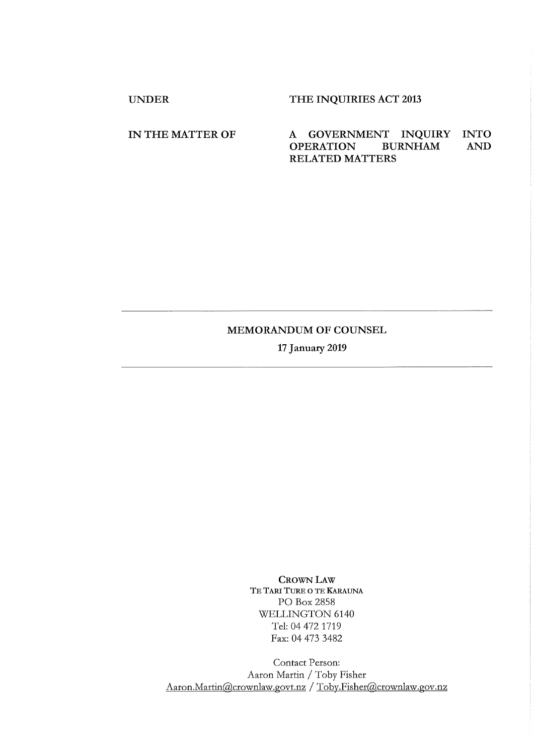UNDER THE INQUIRIES ACT 2013

## IN THE MATTER OF A GOVERNMENT INQUIRY INTO AND OPERATION BURNHAM AND OPERATION BURNHAM AND RELATED MATTERS

## MEMORANDUM OF COUNSEL

**17 January** 2019

CROWN LAw TE TARI TURE O TE KARAUNA PO Box 2858 WELLINGTON 6140 Tel: 04 472 1719 Fax: 04 473 3482

Contact Person: Aaron Martin / Toby Fisher Aaron.Martin@crownlaw.govt.nz / Toby.Fisher@crownlaw.gov.nz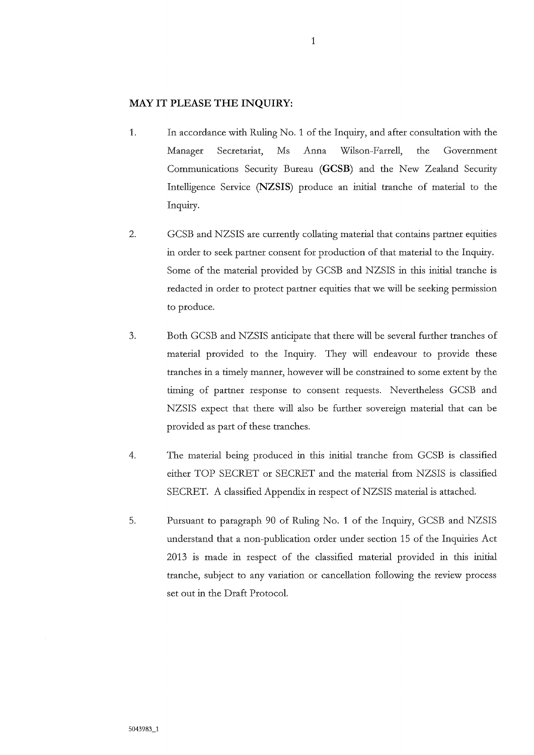## **MAY IT PLEASE THE INQUIRY:**

- 1. In accordance with Ruling No. 1 of the Inquiry, and after consultation with the Manager Secretariat, Ms Anna Wilson-Farrell, the Government Communications Security Bureau (GCSB) and the New Zealand Security Intelligence Service (**NZSIS)** produce an initial tranche of material to the Inquiry.
- 2. GCSB and NZSIS are currently collating material that contains partner equities in order to seek partner consent for production of that material to the Inquiry. Some of the material provided by GCSB and NZSIS in this initial tranche is redacted in order to protect partner equities that we will be seeking permission to produce.
- 3. Both GCSB and NZSIS anticipate that there will be several further tranches of material provided to the Inquiry. They will endeavour to provide these tranches in a timely manner, however will be constrained to some extent by the timing of partner response to consent requests. Nevertheless GCSB and NZSIS expect that there will also be further sovereign material that can be provided as part of these tranches.
- 4. The material being produced in this initial tranche from GCSB is classified either TOP SECRET or SECRET and the material from NZSIS is classified SECRET. A classified Appendix in respect of NZSIS material is attached.
- 5. Pursuant to paragraph 90 of Ruling No. 1 of the Inquiry, GCSB and NZSIS understand that a non-publication order under section 15 of the Inquiries Act 2013 is made in respect of the classified material provided in this initial tranche, subject to any variation or cancellation following the review process set out in the Draft Protocol.